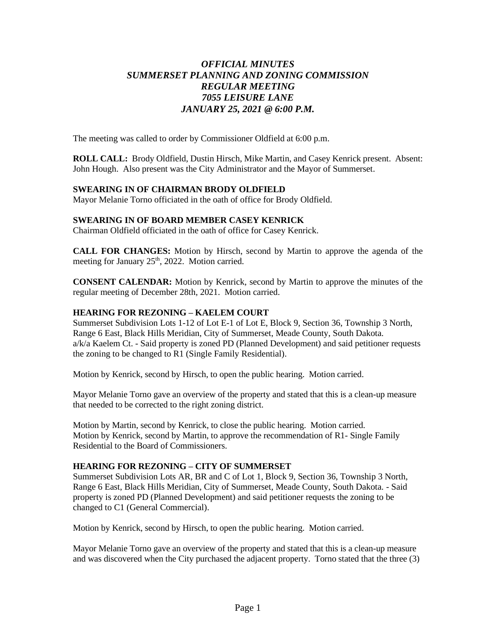# *OFFICIAL MINUTES SUMMERSET PLANNING AND ZONING COMMISSION REGULAR MEETING 7055 LEISURE LANE JANUARY 25, 2021 @ 6:00 P.M.*

The meeting was called to order by Commissioner Oldfield at 6:00 p.m.

**ROLL CALL:** Brody Oldfield, Dustin Hirsch, Mike Martin, and Casey Kenrick present. Absent: John Hough. Also present was the City Administrator and the Mayor of Summerset.

#### **SWEARING IN OF CHAIRMAN BRODY OLDFIELD**

Mayor Melanie Torno officiated in the oath of office for Brody Oldfield.

#### **SWEARING IN OF BOARD MEMBER CASEY KENRICK**

Chairman Oldfield officiated in the oath of office for Casey Kenrick.

**CALL FOR CHANGES:** Motion by Hirsch, second by Martin to approve the agenda of the meeting for January 25<sup>th</sup>, 2022. Motion carried.

**CONSENT CALENDAR:** Motion by Kenrick, second by Martin to approve the minutes of the regular meeting of December 28th, 2021. Motion carried.

#### **HEARING FOR REZONING – KAELEM COURT**

Summerset Subdivision Lots 1-12 of Lot E-1 of Lot E, Block 9, Section 36, Township 3 North, Range 6 East, Black Hills Meridian, City of Summerset, Meade County, South Dakota. a/k/a Kaelem Ct. - Said property is zoned PD (Planned Development) and said petitioner requests the zoning to be changed to R1 (Single Family Residential).

Motion by Kenrick, second by Hirsch, to open the public hearing. Motion carried.

Mayor Melanie Torno gave an overview of the property and stated that this is a clean-up measure that needed to be corrected to the right zoning district.

Motion by Martin, second by Kenrick, to close the public hearing. Motion carried. Motion by Kenrick, second by Martin, to approve the recommendation of R1- Single Family Residential to the Board of Commissioners.

#### **HEARING FOR REZONING – CITY OF SUMMERSET**

Summerset Subdivision Lots AR, BR and C of Lot 1, Block 9, Section 36, Township 3 North, Range 6 East, Black Hills Meridian, City of Summerset, Meade County, South Dakota. - Said property is zoned PD (Planned Development) and said petitioner requests the zoning to be changed to C1 (General Commercial).

Motion by Kenrick, second by Hirsch, to open the public hearing. Motion carried.

Mayor Melanie Torno gave an overview of the property and stated that this is a clean-up measure and was discovered when the City purchased the adjacent property. Torno stated that the three (3)